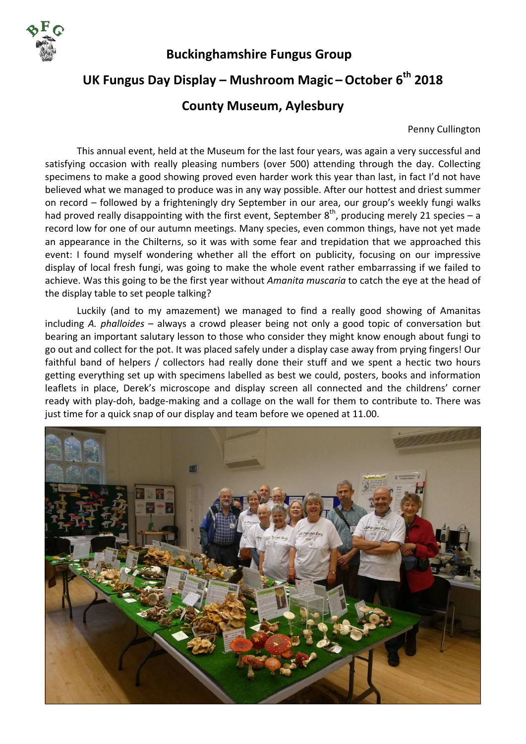

 **Buckinghamshire Fungus Group** 

## **UK Fungus Day Display – Mushroom Magic –October 6th 2018**

## **County Museum, Aylesbury**

Penny Cullington

This annual event, held at the Museum for the last four years, was again a very successful and satisfying occasion with really pleasing numbers (over 500) attending through the day. Collecting specimens to make a good showing proved even harder work this year than last, in fact I'd not have believed what we managed to produce was in any way possible. After our hottest and driest summer on record – followed by a frighteningly dry September in our area, our group's weekly fungi walks had proved really disappointing with the first event, September  $8<sup>th</sup>$ , producing merely 21 species – a record low for one of our autumn meetings. Many species, even common things, have not yet made an appearance in the Chilterns, so it was with some fear and trepidation that we approached this event: I found myself wondering whether all the effort on publicity, focusing on our impressive display of local fresh fungi, was going to make the whole event rather embarrassing if we failed to achieve. Was this going to be the first year without *Amanita muscaria* to catch the eye at the head of the display table to set people talking?

Luckily (and to my amazement) we managed to find a really good showing of Amanitas including *A. phalloides* – always a crowd pleaser being not only a good topic of conversation but bearing an important salutary lesson to those who consider they might know enough about fungi to go out and collect for the pot. It was placed safely under a display case away from prying fingers! Our faithful band of helpers / collectors had really done their stuff and we spent a hectic two hours getting everything set up with specimens labelled as best we could, posters, books and information leaflets in place, Derek's microscope and display screen all connected and the childrens' corner ready with play‐doh, badge‐making and a collage on the wall for them to contribute to. There was just time for a quick snap of our display and team before we opened at 11.00.